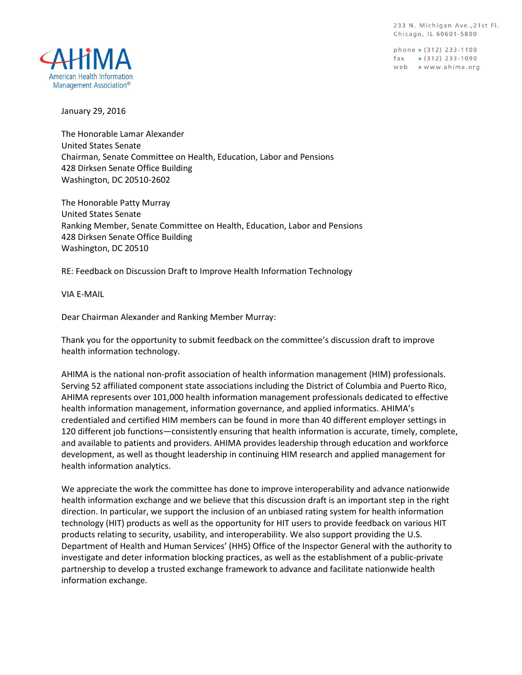233 N. Michigan Ave., 21st Fl. Chicago, IL 60601-5800

phone » (312) 233-1100  $\frac{1}{2}$  (312) 233-1090 web » www.ahima.org



January 29, 2016

The Honorable Lamar Alexander United States Senate Chairman, Senate Committee on Health, Education, Labor and Pensions 428 Dirksen Senate Office Building Washington, DC 20510-2602

The Honorable Patty Murray United States Senate Ranking Member, Senate Committee on Health, Education, Labor and Pensions 428 Dirksen Senate Office Building Washington, DC 20510

RE: Feedback on Discussion Draft to Improve Health Information Technology

VIA E-MAIL

Dear Chairman Alexander and Ranking Member Murray:

Thank you for the opportunity to submit feedback on the committee's discussion draft to improve health information technology.

AHIMA is the national non-profit association of health information management (HIM) professionals. Serving 52 affiliated component state associations including the District of Columbia and Puerto Rico, AHIMA represents over 101,000 health information management professionals dedicated to effective health information management, information governance, and applied informatics. AHIMA's credentialed and certified HIM members can be found in more than 40 different employer settings in 120 different job functions—consistently ensuring that health information is accurate, timely, complete, and available to patients and providers. AHIMA provides leadership through education and workforce development, as well as thought leadership in continuing HIM research and applied management for health information analytics.

We appreciate the work the committee has done to improve interoperability and advance nationwide health information exchange and we believe that this discussion draft is an important step in the right direction. In particular, we support the inclusion of an unbiased rating system for health information technology (HIT) products as well as the opportunity for HIT users to provide feedback on various HIT products relating to security, usability, and interoperability. We also support providing the U.S. Department of Health and Human Services' (HHS) Office of the Inspector General with the authority to investigate and deter information blocking practices, as well as the establishment of a public-private partnership to develop a trusted exchange framework to advance and facilitate nationwide health information exchange.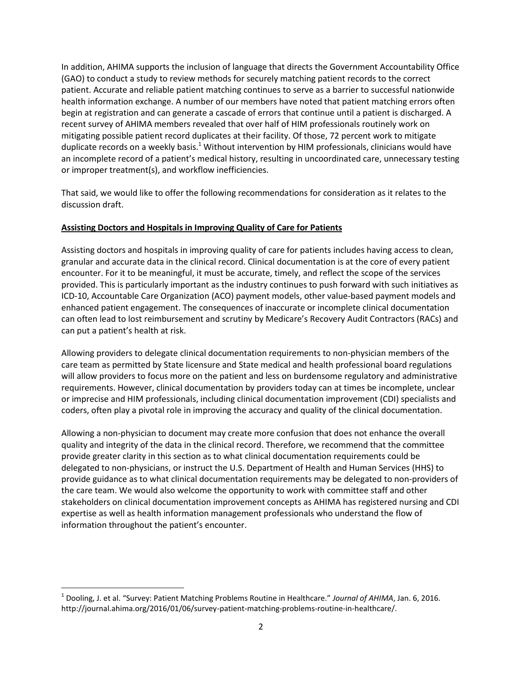In addition, AHIMA supports the inclusion of language that directs the Government Accountability Office (GAO) to conduct a study to review methods for securely matching patient records to the correct patient. Accurate and reliable patient matching continues to serve as a barrier to successful nationwide health information exchange. A number of our members have noted that patient matching errors often begin at registration and can generate a cascade of errors that continue until a patient is discharged. A recent survey of AHIMA members revealed that over half of HIM professionals routinely work on mitigating possible patient record duplicates at their facility. Of those, 72 percent work to mitigate duplicate records on a weekly basis.<sup>1</sup> Without intervention by HIM professionals, clinicians would have an incomplete record of a patient's medical history, resulting in uncoordinated care, unnecessary testing or improper treatment(s), and workflow inefficiencies.

That said, we would like to offer the following recommendations for consideration as it relates to the discussion draft.

## **Assisting Doctors and Hospitals in Improving Quality of Care for Patients**

Assisting doctors and hospitals in improving quality of care for patients includes having access to clean, granular and accurate data in the clinical record. Clinical documentation is at the core of every patient encounter. For it to be meaningful, it must be accurate, timely, and reflect the scope of the services provided. This is particularly important as the industry continues to push forward with such initiatives as ICD-10, Accountable Care Organization (ACO) payment models, other value-based payment models and enhanced patient engagement. The consequences of inaccurate or incomplete clinical documentation can often lead to lost reimbursement and scrutiny by Medicare's Recovery Audit Contractors (RACs) and can put a patient's health at risk.

Allowing providers to delegate clinical documentation requirements to non-physician members of the care team as permitted by State licensure and State medical and health professional board regulations will allow providers to focus more on the patient and less on burdensome regulatory and administrative requirements. However, clinical documentation by providers today can at times be incomplete, unclear or imprecise and HIM professionals, including clinical documentation improvement (CDI) specialists and coders, often play a pivotal role in improving the accuracy and quality of the clinical documentation.

Allowing a non-physician to document may create more confusion that does not enhance the overall quality and integrity of the data in the clinical record. Therefore, we recommend that the committee provide greater clarity in this section as to what clinical documentation requirements could be delegated to non-physicians, or instruct the U.S. Department of Health and Human Services (HHS) to provide guidance as to what clinical documentation requirements may be delegated to non-providers of the care team. We would also welcome the opportunity to work with committee staff and other stakeholders on clinical documentation improvement concepts as AHIMA has registered nursing and CDI expertise as well as health information management professionals who understand the flow of information throughout the patient's encounter.

 $\overline{a}$ 

<sup>&</sup>lt;sup>1</sup> Dooling, J. et al. "Survey: Patient Matching Problems Routine in Healthcare." Journal of AHIMA, Jan. 6, 2016. http://journal.ahima.org/2016/01/06/survey-patient-matching-problems-routine-in-healthcare/.